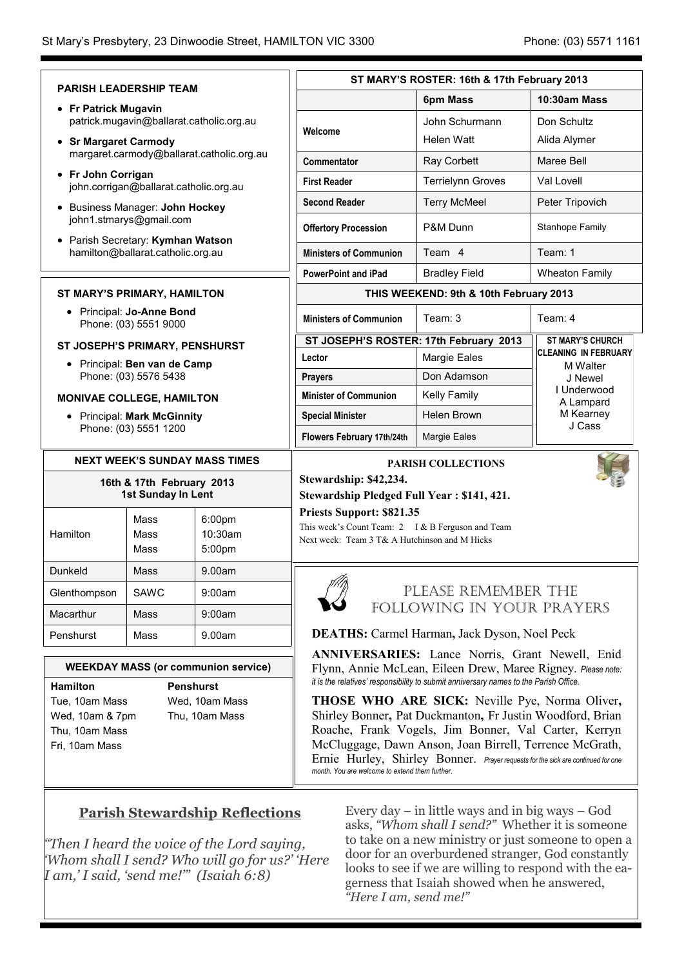|                                                                                                                                                  |                                                                  |                                         | ST MARY'S ROSTER: 16th & 17th February 2013                                                                                                                                                                                                                                                                                                                                                                                                                          |                                                                                                       |                         |  |
|--------------------------------------------------------------------------------------------------------------------------------------------------|------------------------------------------------------------------|-----------------------------------------|----------------------------------------------------------------------------------------------------------------------------------------------------------------------------------------------------------------------------------------------------------------------------------------------------------------------------------------------------------------------------------------------------------------------------------------------------------------------|-------------------------------------------------------------------------------------------------------|-------------------------|--|
|                                                                                                                                                  | <b>PARISH LEADERSHIP TEAM</b>                                    |                                         |                                                                                                                                                                                                                                                                                                                                                                                                                                                                      | 6pm Mass                                                                                              | 10:30am Mass            |  |
|                                                                                                                                                  | • Fr Patrick Mugavin<br>patrick.mugavin@ballarat.catholic.org.au |                                         |                                                                                                                                                                                                                                                                                                                                                                                                                                                                      | John Schurmann                                                                                        | Don Schultz             |  |
| • Sr Margaret Carmody                                                                                                                            |                                                                  | Welcome                                 | Helen Watt                                                                                                                                                                                                                                                                                                                                                                                                                                                           | Alida Alymer                                                                                          |                         |  |
| margaret.carmody@ballarat.catholic.org.au                                                                                                        |                                                                  | Commentator                             | Ray Corbett                                                                                                                                                                                                                                                                                                                                                                                                                                                          | Maree Bell                                                                                            |                         |  |
| • Fr John Corrigan<br>john.corrigan@ballarat.catholic.org.au                                                                                     |                                                                  |                                         | <b>First Reader</b>                                                                                                                                                                                                                                                                                                                                                                                                                                                  | <b>Terrielynn Groves</b>                                                                              | Val Lovell              |  |
| • Business Manager: John Hockey                                                                                                                  |                                                                  |                                         | <b>Second Reader</b>                                                                                                                                                                                                                                                                                                                                                                                                                                                 | <b>Terry McMeel</b>                                                                                   | Peter Tripovich         |  |
| john1.stmarys@gmail.com                                                                                                                          |                                                                  |                                         | <b>Offertory Procession</b>                                                                                                                                                                                                                                                                                                                                                                                                                                          | P&M Dunn                                                                                              | Stanhope Family         |  |
| • Parish Secretary: Kymhan Watson<br>hamilton@ballarat.catholic.org.au                                                                           |                                                                  |                                         | <b>Ministers of Communion</b>                                                                                                                                                                                                                                                                                                                                                                                                                                        | Team 4                                                                                                | Team: 1                 |  |
|                                                                                                                                                  |                                                                  | <b>PowerPoint and iPad</b>              | <b>Bradley Field</b>                                                                                                                                                                                                                                                                                                                                                                                                                                                 | <b>Wheaton Family</b>                                                                                 |                         |  |
| <b>ST MARY'S PRIMARY, HAMILTON</b>                                                                                                               |                                                                  |                                         | THIS WEEKEND: 9th & 10th February 2013                                                                                                                                                                                                                                                                                                                                                                                                                               |                                                                                                       |                         |  |
| • Principal: Jo-Anne Bond<br>Phone: (03) 5551 9000                                                                                               |                                                                  |                                         | <b>Ministers of Communion</b>                                                                                                                                                                                                                                                                                                                                                                                                                                        | Team: 3                                                                                               | Team: 4                 |  |
| ST JOSEPH'S PRIMARY, PENSHURST                                                                                                                   |                                                                  |                                         | ST JOSEPH'S ROSTER: 17th February 2013                                                                                                                                                                                                                                                                                                                                                                                                                               |                                                                                                       | <b>ST MARY'S CHURCH</b> |  |
| • Principal: Ben van de Camp                                                                                                                     |                                                                  | Lector                                  | Margie Eales                                                                                                                                                                                                                                                                                                                                                                                                                                                         | <b>CLEANING IN FEBRUARY</b><br>M Walter<br>J Newel<br>I Underwood<br>A Lampard<br>M Kearney<br>J Cass |                         |  |
| Phone: (03) 5576 5438                                                                                                                            |                                                                  |                                         | <b>Prayers</b>                                                                                                                                                                                                                                                                                                                                                                                                                                                       |                                                                                                       | Don Adamson             |  |
| <b>MONIVAE COLLEGE, HAMILTON</b>                                                                                                                 |                                                                  |                                         | <b>Minister of Communion</b>                                                                                                                                                                                                                                                                                                                                                                                                                                         |                                                                                                       | Kelly Family            |  |
| • Principal: Mark McGinnity<br>Phone: (03) 5551 1200                                                                                             |                                                                  | <b>Special Minister</b>                 | Helen Brown                                                                                                                                                                                                                                                                                                                                                                                                                                                          |                                                                                                       |                         |  |
|                                                                                                                                                  |                                                                  | Flowers February 17th/24th              | Margie Eales                                                                                                                                                                                                                                                                                                                                                                                                                                                         |                                                                                                       |                         |  |
| <b>NEXT WEEK'S SUNDAY MASS TIMES</b>                                                                                                             |                                                                  |                                         | <b>PARISH COLLECTIONS</b><br>Stewardship: \$42,234.<br>Stewardship Pledged Full Year: \$141, 421.                                                                                                                                                                                                                                                                                                                                                                    |                                                                                                       |                         |  |
| 16th & 17th February 2013<br>1st Sunday In Lent                                                                                                  |                                                                  |                                         |                                                                                                                                                                                                                                                                                                                                                                                                                                                                      |                                                                                                       |                         |  |
| Hamilton                                                                                                                                         | Mass<br>Mass<br>Mass                                             | 6:00 <sub>pm</sub><br>10:30am<br>5:00pm | Priests Support: \$821.35<br>This week's Count Team: 2 I & B Ferguson and Team<br>Next week: Team 3 T& A Hutchinson and M Hicks                                                                                                                                                                                                                                                                                                                                      |                                                                                                       |                         |  |
| Dunkeld                                                                                                                                          | Mass                                                             | 9.00am                                  |                                                                                                                                                                                                                                                                                                                                                                                                                                                                      |                                                                                                       |                         |  |
| Glenthompson                                                                                                                                     | <b>SAWC</b>                                                      | 9:00am                                  | PLEASE REMEMBER THE                                                                                                                                                                                                                                                                                                                                                                                                                                                  |                                                                                                       |                         |  |
| Macarthur                                                                                                                                        | Mass                                                             | 9:00am                                  |                                                                                                                                                                                                                                                                                                                                                                                                                                                                      | FOLLOWING IN YOUR PRAYERS                                                                             |                         |  |
| Penshurst                                                                                                                                        | Mass                                                             | 9.00am                                  |                                                                                                                                                                                                                                                                                                                                                                                                                                                                      | <b>DEATHS:</b> Carmel Harman, Jack Dyson, Noel Peck                                                   |                         |  |
| <b>WEEKDAY MASS (or communion service)</b>                                                                                                       |                                                                  |                                         | ANNIVERSARIES: Lance Norris, Grant Newell, Enid<br>Flynn, Annie McLean, Eileen Drew, Maree Rigney. Please note:                                                                                                                                                                                                                                                                                                                                                      |                                                                                                       |                         |  |
| <b>Penshurst</b><br><b>Hamilton</b><br>Tue, 10am Mass<br>Wed, 10am Mass<br>Wed, 10am & 7pm<br>Thu, 10am Mass<br>Thu, 10am Mass<br>Fri, 10am Mass |                                                                  |                                         | it is the relatives' responsibility to submit anniversary names to the Parish Office.<br><b>THOSE WHO ARE SICK:</b> Neville Pye, Norma Oliver,<br>Shirley Bonner, Pat Duckmanton, Fr Justin Woodford, Brian<br>Roache, Frank Vogels, Jim Bonner, Val Carter, Kerryn<br>McCluggage, Dawn Anson, Joan Birrell, Terrence McGrath,<br>Ernie Hurley, Shirley Bonner. Prayer requests for the sick are continued for one<br>month. You are welcome to extend them further. |                                                                                                       |                         |  |

## **Parish Stewardship Reflections**

*"Then I heard the voice of the Lord saying, 'Whom shall I send? Who will go for us?' 'Here I am,' I said, 'send me!'" (Isaiah 6:8)*

Every day – in little ways and in big ways – God asks, *"Whom shall I send?"* Whether it is someone to take on a new ministry or just someone to open a door for an overburdened stranger, God constantly looks to see if we are willing to respond with the eagerness that Isaiah showed when he answered, *"Here I am, send me!"*